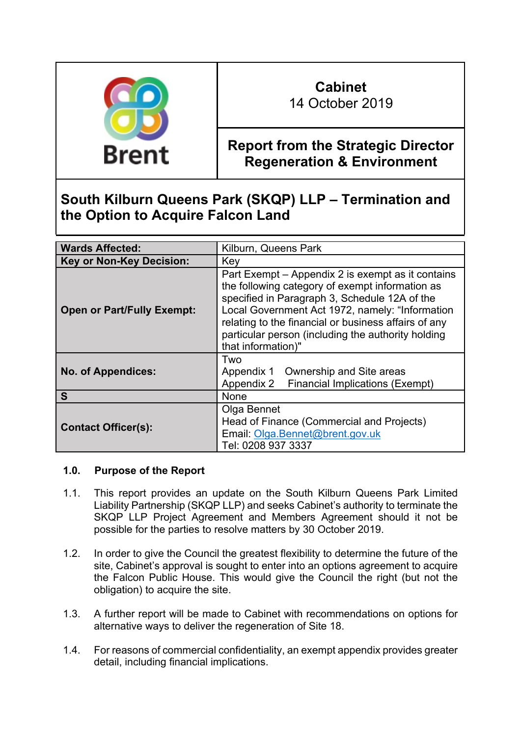

# **Cabinet**

14 October 2019

# **Report from the Strategic Director Regeneration & Environment**

# **South Kilburn Queens Park (SKQP) LLP – Termination and the Option to Acquire Falcon Land**

| <b>Wards Affected:</b>            | Kilburn, Queens Park                                                                                                                                                                                                                                                                                                                         |
|-----------------------------------|----------------------------------------------------------------------------------------------------------------------------------------------------------------------------------------------------------------------------------------------------------------------------------------------------------------------------------------------|
| <b>Key or Non-Key Decision:</b>   | Key                                                                                                                                                                                                                                                                                                                                          |
| <b>Open or Part/Fully Exempt:</b> | Part Exempt – Appendix 2 is exempt as it contains<br>the following category of exempt information as<br>specified in Paragraph 3, Schedule 12A of the<br>Local Government Act 1972, namely: "Information<br>relating to the financial or business affairs of any<br>particular person (including the authority holding<br>that information)" |
| <b>No. of Appendices:</b>         | Two<br>Ownership and Site areas<br>Appendix 1<br>Appendix 2<br><b>Financial Implications (Exempt)</b>                                                                                                                                                                                                                                        |
| S                                 | <b>None</b>                                                                                                                                                                                                                                                                                                                                  |
| <b>Contact Officer(s):</b>        | Olga Bennet<br>Head of Finance (Commercial and Projects)<br>Email: Olga.Bennet@brent.gov.uk<br>Tel: 0208 937 3337                                                                                                                                                                                                                            |

## **1.0. Purpose of the Report**

- 1.1. This report provides an update on the South Kilburn Queens Park Limited Liability Partnership (SKQP LLP) and seeks Cabinet's authority to terminate the SKQP LLP Project Agreement and Members Agreement should it not be possible for the parties to resolve matters by 30 October 2019.
- 1.2. In order to give the Council the greatest flexibility to determine the future of the site, Cabinet's approval is sought to enter into an options agreement to acquire the Falcon Public House. This would give the Council the right (but not the obligation) to acquire the site.
- 1.3. A further report will be made to Cabinet with recommendations on options for alternative ways to deliver the regeneration of Site 18.
- 1.4. For reasons of commercial confidentiality, an exempt appendix provides greater detail, including financial implications.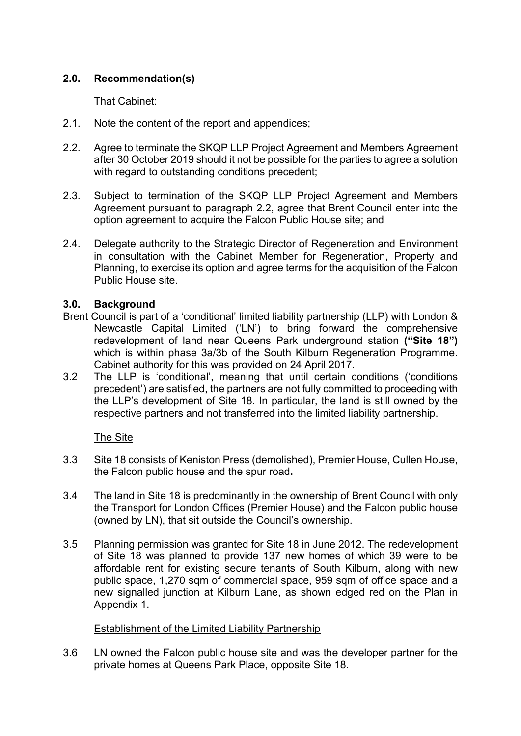## **2.0. Recommendation(s)**

That Cabinet:

- 2.1. Note the content of the report and appendices;
- 2.2. Agree to terminate the SKQP LLP Project Agreement and Members Agreement after 30 October 2019 should it not be possible for the parties to agree a solution with regard to outstanding conditions precedent;
- 2.3. Subject to termination of the SKQP LLP Project Agreement and Members Agreement pursuant to paragraph 2.2, agree that Brent Council enter into the option agreement to acquire the Falcon Public House site; and
- 2.4. Delegate authority to the Strategic Director of Regeneration and Environment in consultation with the Cabinet Member for Regeneration, Property and Planning, to exercise its option and agree terms for the acquisition of the Falcon Public House site.

## **3.0. Background**

- Brent Council is part of a 'conditional' limited liability partnership (LLP) with London & Newcastle Capital Limited ('LN') to bring forward the comprehensive redevelopment of land near Queens Park underground station **("Site 18")** which is within phase 3a/3b of the South Kilburn Regeneration Programme. Cabinet authority for this was provided on 24 April 2017.
- 3.2 The LLP is 'conditional', meaning that until certain conditions ('conditions precedent') are satisfied, the partners are not fully committed to proceeding with the LLP's development of Site 18. In particular, the land is still owned by the respective partners and not transferred into the limited liability partnership.

## The Site

- 3.3 Site 18 consists of Keniston Press (demolished), Premier House, Cullen House, the Falcon public house and the spur road**.**
- 3.4 The land in Site 18 is predominantly in the ownership of Brent Council with only the Transport for London Offices (Premier House) and the Falcon public house (owned by LN), that sit outside the Council's ownership.
- 3.5 Planning permission was granted for Site 18 in June 2012. The redevelopment of Site 18 was planned to provide 137 new homes of which 39 were to be affordable rent for existing secure tenants of South Kilburn, along with new public space, 1,270 sqm of commercial space, 959 sqm of office space and a new signalled junction at Kilburn Lane, as shown edged red on the Plan in Appendix 1.

## Establishment of the Limited Liability Partnership

3.6 LN owned the Falcon public house site and was the developer partner for the private homes at Queens Park Place, opposite Site 18.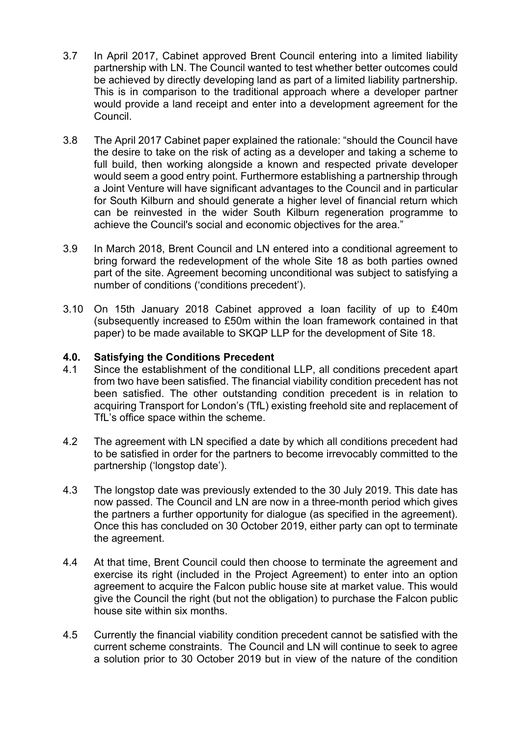- 3.7 In April 2017, Cabinet approved Brent Council entering into a limited liability partnership with LN. The Council wanted to test whether better outcomes could be achieved by directly developing land as part of a limited liability partnership. This is in comparison to the traditional approach where a developer partner would provide a land receipt and enter into a development agreement for the Council.
- 3.8 The April 2017 Cabinet paper explained the rationale: "should the Council have the desire to take on the risk of acting as a developer and taking a scheme to full build, then working alongside a known and respected private developer would seem a good entry point. Furthermore establishing a partnership through a Joint Venture will have significant advantages to the Council and in particular for South Kilburn and should generate a higher level of financial return which can be reinvested in the wider South Kilburn regeneration programme to achieve the Council's social and economic objectives for the area."
- 3.9 In March 2018, Brent Council and LN entered into a conditional agreement to bring forward the redevelopment of the whole Site 18 as both parties owned part of the site. Agreement becoming unconditional was subject to satisfying a number of conditions ('conditions precedent').
- 3.10 On 15th January 2018 Cabinet approved a loan facility of up to £40m (subsequently increased to £50m within the loan framework contained in that paper) to be made available to SKQP LLP for the development of Site 18.

#### **4.0. Satisfying the Conditions Precedent**

- 4.1 Since the establishment of the conditional LLP, all conditions precedent apart from two have been satisfied. The financial viability condition precedent has not been satisfied. The other outstanding condition precedent is in relation to acquiring Transport for London's (TfL) existing freehold site and replacement of TfL's office space within the scheme.
- 4.2 The agreement with LN specified a date by which all conditions precedent had to be satisfied in order for the partners to become irrevocably committed to the partnership ('longstop date').
- 4.3 The longstop date was previously extended to the 30 July 2019. This date has now passed. The Council and LN are now in a three-month period which gives the partners a further opportunity for dialogue (as specified in the agreement). Once this has concluded on 30 October 2019, either party can opt to terminate the agreement.
- 4.4 At that time, Brent Council could then choose to terminate the agreement and exercise its right (included in the Project Agreement) to enter into an option agreement to acquire the Falcon public house site at market value. This would give the Council the right (but not the obligation) to purchase the Falcon public house site within six months.
- 4.5 Currently the financial viability condition precedent cannot be satisfied with the current scheme constraints. The Council and LN will continue to seek to agree a solution prior to 30 October 2019 but in view of the nature of the condition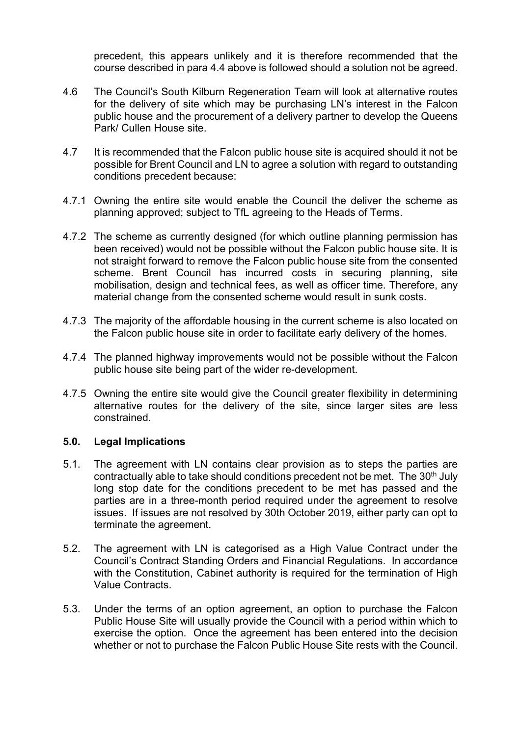precedent, this appears unlikely and it is therefore recommended that the course described in para 4.4 above is followed should a solution not be agreed.

- 4.6 The Council's South Kilburn Regeneration Team will look at alternative routes for the delivery of site which may be purchasing LN's interest in the Falcon public house and the procurement of a delivery partner to develop the Queens Park/ Cullen House site.
- 4.7 It is recommended that the Falcon public house site is acquired should it not be possible for Brent Council and LN to agree a solution with regard to outstanding conditions precedent because:
- 4.7.1 Owning the entire site would enable the Council the deliver the scheme as planning approved; subject to TfL agreeing to the Heads of Terms.
- 4.7.2 The scheme as currently designed (for which outline planning permission has been received) would not be possible without the Falcon public house site. It is not straight forward to remove the Falcon public house site from the consented scheme. Brent Council has incurred costs in securing planning, site mobilisation, design and technical fees, as well as officer time. Therefore, any material change from the consented scheme would result in sunk costs.
- 4.7.3 The majority of the affordable housing in the current scheme is also located on the Falcon public house site in order to facilitate early delivery of the homes.
- 4.7.4 The planned highway improvements would not be possible without the Falcon public house site being part of the wider re-development.
- 4.7.5 Owning the entire site would give the Council greater flexibility in determining alternative routes for the delivery of the site, since larger sites are less constrained.

#### **5.0. Legal Implications**

- 5.1. The agreement with LN contains clear provision as to steps the parties are contractually able to take should conditions precedent not be met. The  $30<sup>th</sup>$  July long stop date for the conditions precedent to be met has passed and the parties are in a three-month period required under the agreement to resolve issues. If issues are not resolved by 30th October 2019, either party can opt to terminate the agreement.
- 5.2. The agreement with LN is categorised as a High Value Contract under the Council's Contract Standing Orders and Financial Regulations. In accordance with the Constitution, Cabinet authority is required for the termination of High Value Contracts.
- 5.3. Under the terms of an option agreement, an option to purchase the Falcon Public House Site will usually provide the Council with a period within which to exercise the option. Once the agreement has been entered into the decision whether or not to purchase the Falcon Public House Site rests with the Council.